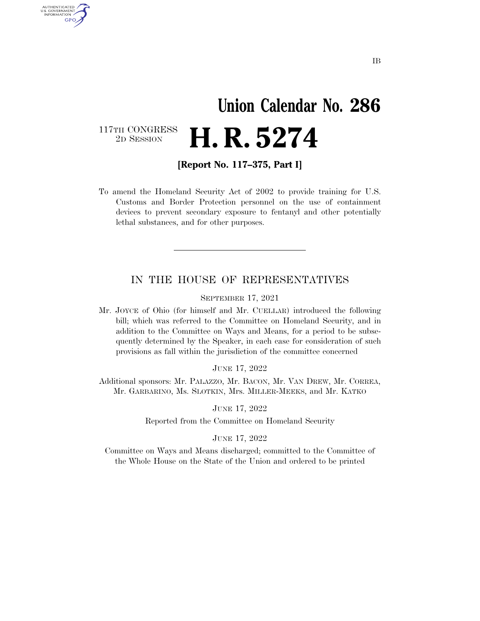## **Union Calendar No. 286**  117TH CONGRESS<br>2D SESSION H. R. 5274

**[Report No. 117–375, Part I]** 

U.S. GOVERNMENT GPO

> To amend the Homeland Security Act of 2002 to provide training for U.S. Customs and Border Protection personnel on the use of containment devices to prevent secondary exposure to fentanyl and other potentially lethal substances, and for other purposes.

## IN THE HOUSE OF REPRESENTATIVES

SEPTEMBER 17, 2021

Mr. JOYCE of Ohio (for himself and Mr. CUELLAR) introduced the following bill; which was referred to the Committee on Homeland Security, and in addition to the Committee on Ways and Means, for a period to be subsequently determined by the Speaker, in each case for consideration of such provisions as fall within the jurisdiction of the committee concerned

JUNE 17, 2022

Additional sponsors: Mr. PALAZZO, Mr. BACON, Mr. VAN DREW, Mr. CORREA, Mr. GARBARINO, Ms. SLOTKIN, Mrs. MILLER-MEEKS, and Mr. KATKO

JUNE 17, 2022

Reported from the Committee on Homeland Security

JUNE 17, 2022

Committee on Ways and Means discharged; committed to the Committee of the Whole House on the State of the Union and ordered to be printed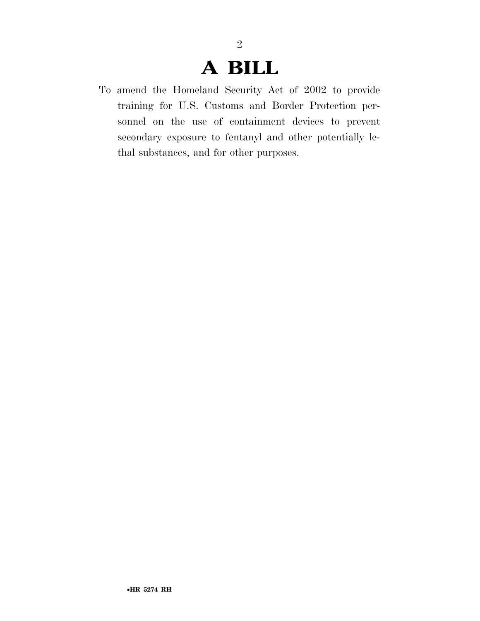## **A BILL**

To amend the Homeland Security Act of 2002 to provide training for U.S. Customs and Border Protection personnel on the use of containment devices to prevent secondary exposure to fentanyl and other potentially lethal substances, and for other purposes.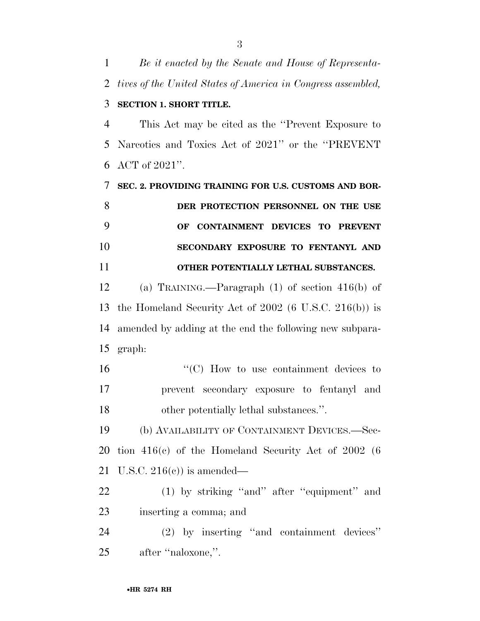*tives of the United States of America in Congress assembled,*  **SECTION 1. SHORT TITLE.**  This Act may be cited as the ''Prevent Exposure to Narcotics and Toxics Act of 2021'' or the ''PREVENT ACT of 2021''. **SEC. 2. PROVIDING TRAINING FOR U.S. CUSTOMS AND BOR- DER PROTECTION PERSONNEL ON THE USE OF CONTAINMENT DEVICES TO PREVENT SECONDARY EXPOSURE TO FENTANYL AND OTHER POTENTIALLY LETHAL SUBSTANCES.**  (a) TRAINING.—Paragraph (1) of section 416(b) of the Homeland Security Act of 2002 (6 U.S.C. 216(b)) is amended by adding at the end the following new subpara- graph:  $\frac{16}{10}$  How to use containment devices to prevent secondary exposure to fentanyl and other potentially lethal substances.''. (b) AVAILABILITY OF CONTAINMENT DEVICES.—Sec- tion 416(c) of the Homeland Security Act of 2002 (6 U.S.C. 216(c)) is amended— 22 (1) by striking "and" after "equipment" and inserting a comma; and (2) by inserting ''and containment devices''

25 after "naloxone,".

*Be it enacted by the Senate and House of Representa-*